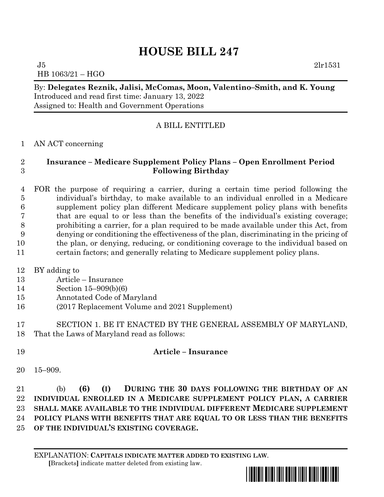## **HOUSE BILL 247**

 $J5$  2lr1531 HB 1063/21 – HGO

By: **Delegates Reznik, Jalisi, McComas, Moon, Valentino–Smith, and K. Young** Introduced and read first time: January 13, 2022 Assigned to: Health and Government Operations

## A BILL ENTITLED

## AN ACT concerning

## **Insurance – Medicare Supplement Policy Plans – Open Enrollment Period Following Birthday**

 FOR the purpose of requiring a carrier, during a certain time period following the individual's birthday, to make available to an individual enrolled in a Medicare supplement policy plan different Medicare supplement policy plans with benefits that are equal to or less than the benefits of the individual's existing coverage; prohibiting a carrier, for a plan required to be made available under this Act, from denying or conditioning the effectiveness of the plan, discriminating in the pricing of the plan, or denying, reducing, or conditioning coverage to the individual based on certain factors; and generally relating to Medicare supplement policy plans.

- BY adding to
- Article Insurance
- Section 15–909(b)(6)
- Annotated Code of Maryland
- (2017 Replacement Volume and 2021 Supplement)
- SECTION 1. BE IT ENACTED BY THE GENERAL ASSEMBLY OF MARYLAND, That the Laws of Maryland read as follows:
- **Article – Insurance**
- 15–909.

 (b) **(6) (I) DURING THE 30 DAYS FOLLOWING THE BIRTHDAY OF AN INDIVIDUAL ENROLLED IN A MEDICARE SUPPLEMENT POLICY PLAN, A CARRIER SHALL MAKE AVAILABLE TO THE INDIVIDUAL DIFFERENT MEDICARE SUPPLEMENT POLICY PLANS WITH BENEFITS THAT ARE EQUAL TO OR LESS THAN THE BENEFITS OF THE INDIVIDUAL'S EXISTING COVERAGE.**